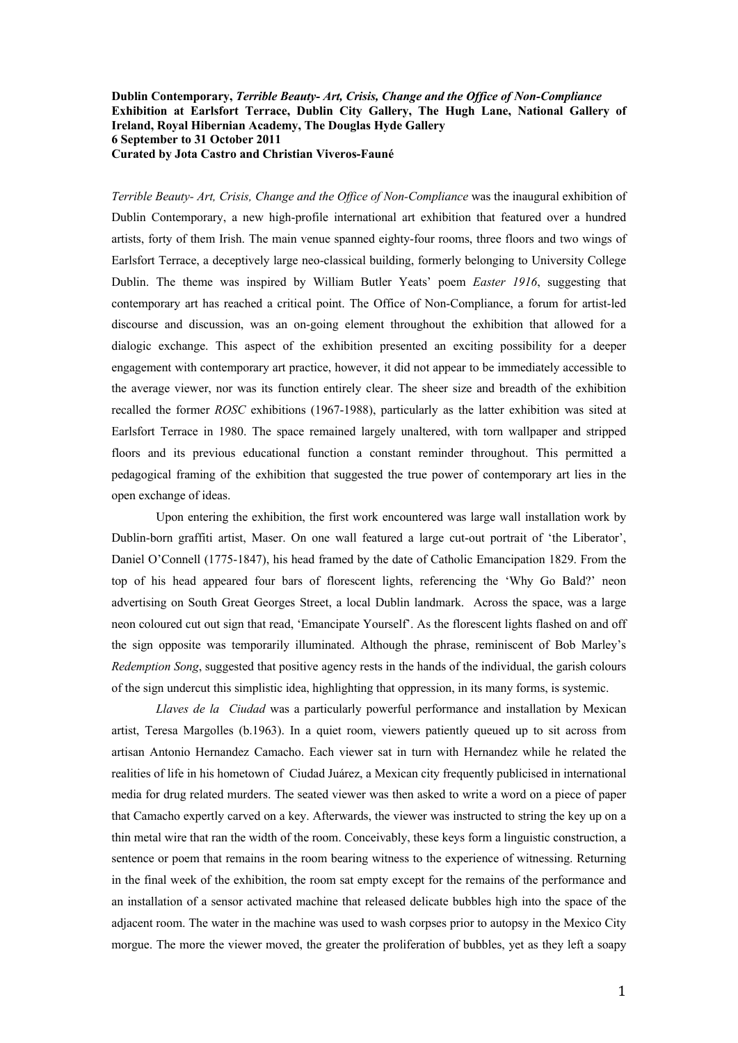**Dublin Contemporary,** *Terrible Beauty- Art, Crisis, Change and the Office of Non-Compliance* **Exhibition at Earlsfort Terrace, Dublin City Gallery, The Hugh Lane, National Gallery of Ireland, Royal Hibernian Academy, The Douglas Hyde Gallery 6 September to 31 October 2011 Curated by Jota Castro and Christian Viveros-Fauné**

*Terrible Beauty- Art, Crisis, Change and the Office of Non-Compliance* was the inaugural exhibition of Dublin Contemporary, a new high-profile international art exhibition that featured over a hundred artists, forty of them Irish. The main venue spanned eighty-four rooms, three floors and two wings of Earlsfort Terrace, a deceptively large neo-classical building, formerly belonging to University College Dublin. The theme was inspired by William Butler Yeats' poem *Easter 1916*, suggesting that contemporary art has reached a critical point. The Office of Non-Compliance, a forum for artist-led discourse and discussion, was an on-going element throughout the exhibition that allowed for a dialogic exchange. This aspect of the exhibition presented an exciting possibility for a deeper engagement with contemporary art practice, however, it did not appear to be immediately accessible to the average viewer, nor was its function entirely clear. The sheer size and breadth of the exhibition recalled the former *ROSC* exhibitions (1967-1988), particularly as the latter exhibition was sited at Earlsfort Terrace in 1980. The space remained largely unaltered, with torn wallpaper and stripped floors and its previous educational function a constant reminder throughout. This permitted a pedagogical framing of the exhibition that suggested the true power of contemporary art lies in the open exchange of ideas.

Upon entering the exhibition, the first work encountered was large wall installation work by Dublin-born graffiti artist, Maser. On one wall featured a large cut-out portrait of 'the Liberator', Daniel O'Connell (1775-1847), his head framed by the date of Catholic Emancipation 1829. From the top of his head appeared four bars of florescent lights, referencing the 'Why Go Bald?' neon advertising on South Great Georges Street, a local Dublin landmark. Across the space, was a large neon coloured cut out sign that read, 'Emancipate Yourself'. As the florescent lights flashed on and off the sign opposite was temporarily illuminated. Although the phrase, reminiscent of Bob Marley's *Redemption Song*, suggested that positive agency rests in the hands of the individual, the garish colours of the sign undercut this simplistic idea, highlighting that oppression, in its many forms, is systemic.

*Llaves de la Ciudad* was a particularly powerful performance and installation by Mexican artist, Teresa Margolles (b.1963). In a quiet room, viewers patiently queued up to sit across from artisan Antonio Hernandez Camacho. Each viewer sat in turn with Hernandez while he related the realities of life in his hometown of Ciudad Juárez, a Mexican city frequently publicised in international media for drug related murders. The seated viewer was then asked to write a word on a piece of paper that Camacho expertly carved on a key. Afterwards, the viewer was instructed to string the key up on a thin metal wire that ran the width of the room. Conceivably, these keys form a linguistic construction, a sentence or poem that remains in the room bearing witness to the experience of witnessing. Returning in the final week of the exhibition, the room sat empty except for the remains of the performance and an installation of a sensor activated machine that released delicate bubbles high into the space of the adjacent room. The water in the machine was used to wash corpses prior to autopsy in the Mexico City morgue. The more the viewer moved, the greater the proliferation of bubbles, yet as they left a soapy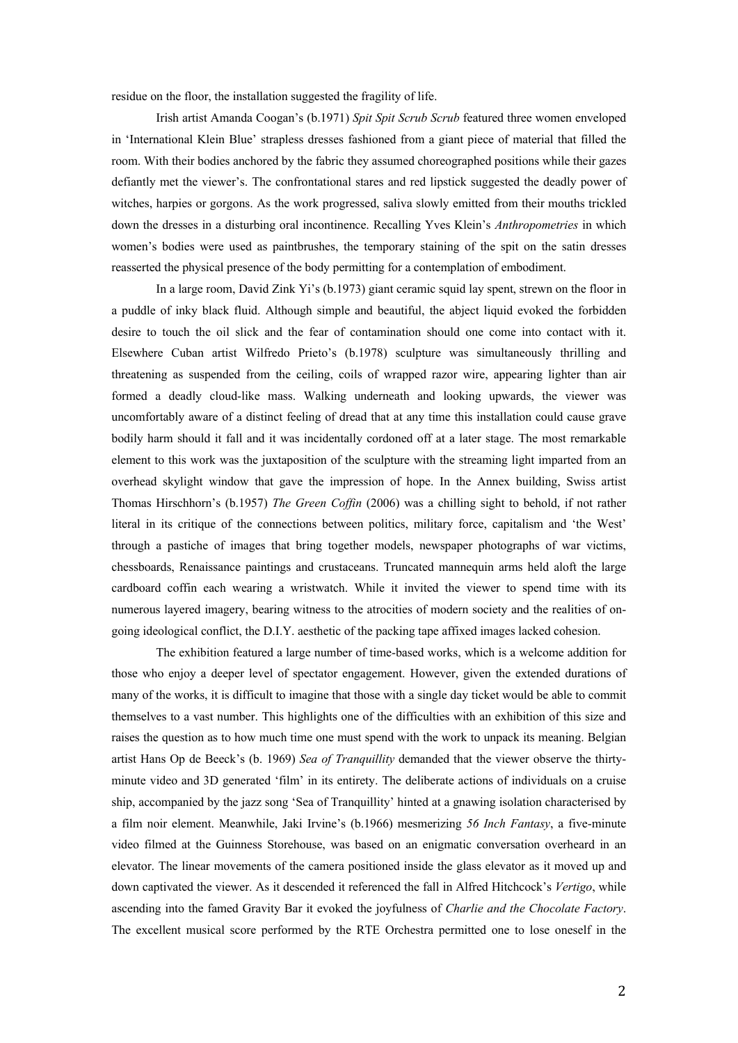residue on the floor, the installation suggested the fragility of life.

Irish artist Amanda Coogan's (b.1971) *Spit Spit Scrub Scrub* featured three women enveloped in 'International Klein Blue' strapless dresses fashioned from a giant piece of material that filled the room. With their bodies anchored by the fabric they assumed choreographed positions while their gazes defiantly met the viewer's. The confrontational stares and red lipstick suggested the deadly power of witches, harpies or gorgons. As the work progressed, saliva slowly emitted from their mouths trickled down the dresses in a disturbing oral incontinence. Recalling Yves Klein's *Anthropometries* in which women's bodies were used as paintbrushes, the temporary staining of the spit on the satin dresses reasserted the physical presence of the body permitting for a contemplation of embodiment.

In a large room, David Zink Yi's (b.1973) giant ceramic squid lay spent, strewn on the floor in a puddle of inky black fluid. Although simple and beautiful, the abject liquid evoked the forbidden desire to touch the oil slick and the fear of contamination should one come into contact with it. Elsewhere Cuban artist Wilfredo Prieto's (b.1978) sculpture was simultaneously thrilling and threatening as suspended from the ceiling, coils of wrapped razor wire, appearing lighter than air formed a deadly cloud-like mass. Walking underneath and looking upwards, the viewer was uncomfortably aware of a distinct feeling of dread that at any time this installation could cause grave bodily harm should it fall and it was incidentally cordoned off at a later stage. The most remarkable element to this work was the juxtaposition of the sculpture with the streaming light imparted from an overhead skylight window that gave the impression of hope. In the Annex building, Swiss artist Thomas Hirschhorn's (b.1957) *The Green Coffin* (2006) was a chilling sight to behold, if not rather literal in its critique of the connections between politics, military force, capitalism and 'the West' through a pastiche of images that bring together models, newspaper photographs of war victims, chessboards, Renaissance paintings and crustaceans. Truncated mannequin arms held aloft the large cardboard coffin each wearing a wristwatch. While it invited the viewer to spend time with its numerous layered imagery, bearing witness to the atrocities of modern society and the realities of ongoing ideological conflict, the D.I.Y. aesthetic of the packing tape affixed images lacked cohesion.

The exhibition featured a large number of time-based works, which is a welcome addition for those who enjoy a deeper level of spectator engagement. However, given the extended durations of many of the works, it is difficult to imagine that those with a single day ticket would be able to commit themselves to a vast number. This highlights one of the difficulties with an exhibition of this size and raises the question as to how much time one must spend with the work to unpack its meaning. Belgian artist Hans Op de Beeck's (b. 1969) *Sea of Tranquillity* demanded that the viewer observe the thirtyminute video and 3D generated 'film' in its entirety. The deliberate actions of individuals on a cruise ship, accompanied by the jazz song 'Sea of Tranquillity' hinted at a gnawing isolation characterised by a film noir element. Meanwhile, Jaki Irvine's (b.1966) mesmerizing *56 Inch Fantasy*, a five-minute video filmed at the Guinness Storehouse, was based on an enigmatic conversation overheard in an elevator. The linear movements of the camera positioned inside the glass elevator as it moved up and down captivated the viewer. As it descended it referenced the fall in Alfred Hitchcock's *Vertigo*, while ascending into the famed Gravity Bar it evoked the joyfulness of *Charlie and the Chocolate Factory*. The excellent musical score performed by the RTE Orchestra permitted one to lose oneself in the